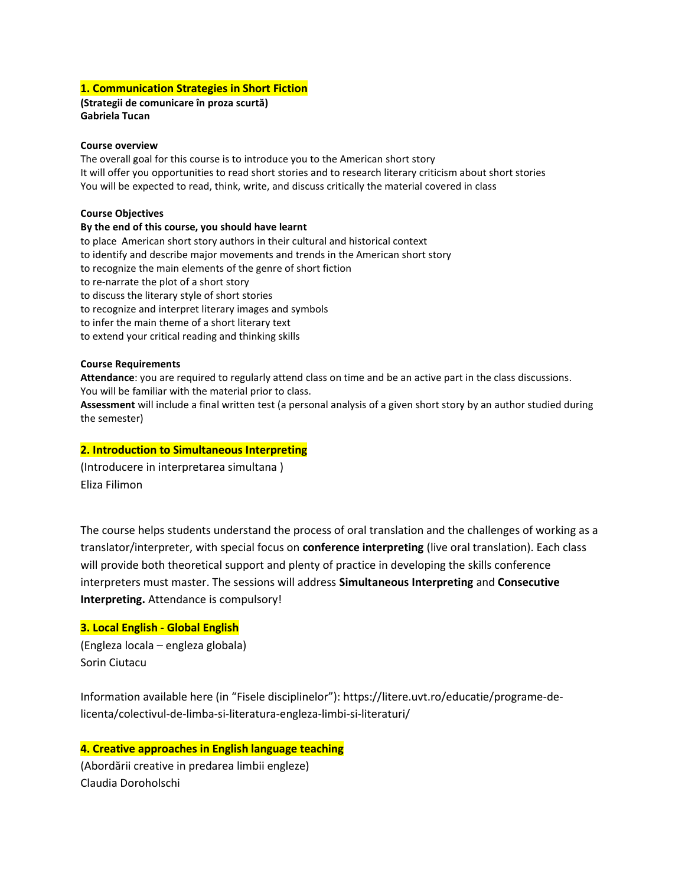# 1. Communication Strategies in Short Fiction

(Strategii de comunicare în proza scurtă) Gabriela Tucan

#### Course overview

The overall goal for this course is to introduce you to the American short story It will offer you opportunities to read short stories and to research literary criticism about short stories You will be expected to read, think, write, and discuss critically the material covered in class

### Course Objectives

### By the end of this course, you should have learnt

to place American short story authors in their cultural and historical context to identify and describe major movements and trends in the American short story to recognize the main elements of the genre of short fiction to re-narrate the plot of a short story to discuss the literary style of short stories to recognize and interpret literary images and symbols to infer the main theme of a short literary text to extend your critical reading and thinking skills

### Course Requirements

Attendance: you are required to regularly attend class on time and be an active part in the class discussions. You will be familiar with the material prior to class.

Assessment will include a final written test (a personal analysis of a given short story by an author studied during the semester)

# 2. Introduction to Simultaneous Interpreting

(Introducere in interpretarea simultana ) Eliza Filimon

The course helps students understand the process of oral translation and the challenges of working as a translator/interpreter, with special focus on conference interpreting (live oral translation). Each class will provide both theoretical support and plenty of practice in developing the skills conference interpreters must master. The sessions will address Simultaneous Interpreting and Consecutive Interpreting. Attendance is compulsory!

# 3. Local English - Global English

(Engleza locala – engleza globala) Sorin Ciutacu

Information available here (in "Fisele disciplinelor"): https://litere.uvt.ro/educatie/programe-delicenta/colectivul-de-limba-si-literatura-engleza-limbi-si-literaturi/

4. Creative approaches in English language teaching (Abordării creative in predarea limbii engleze) Claudia Doroholschi